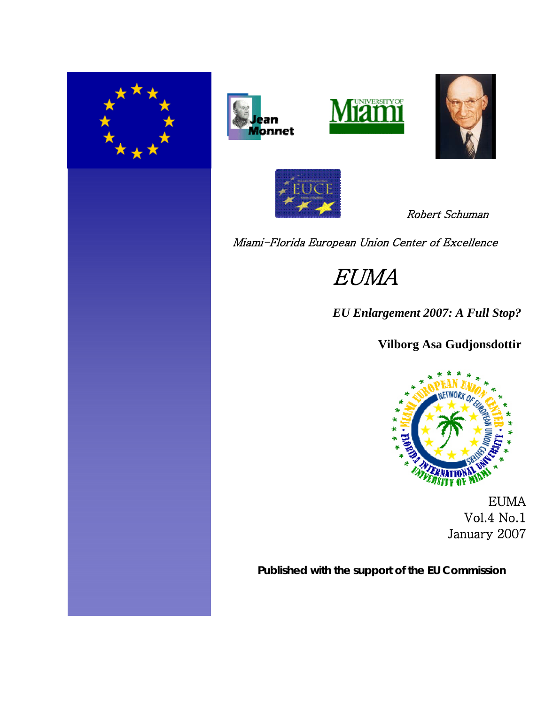









Robert Schuman

Miami-Florida European Union Center of Excellence

EUMA

*EU Enlargement 2007: A Full Stop?*

**Vilborg Asa Gudjonsdottir**



EUMA Vol.4 No.1 January 2007

**Published with the support of the EU Commission**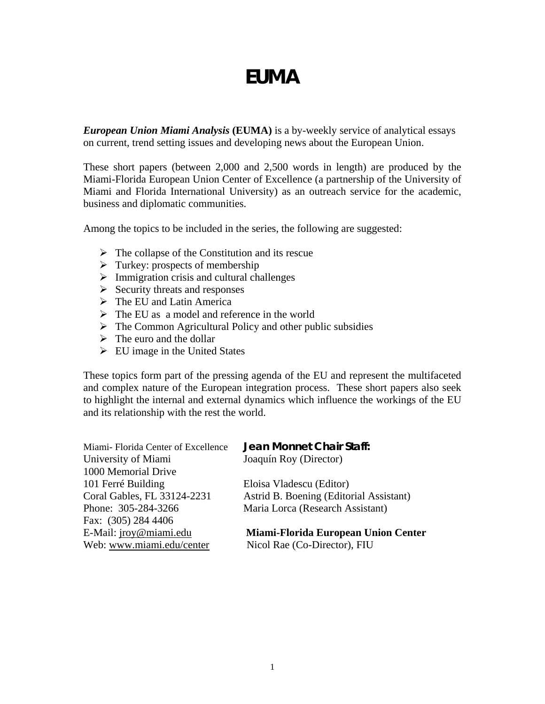# *EUMA*

*European Union Miami Analysis* **(EUMA)** is a by-weekly service of analytical essays on current, trend setting issues and developing news about the European Union.

These short papers (between 2,000 and 2,500 words in length) are produced by the Miami-Florida European Union Center of Excellence (a partnership of the University of Miami and Florida International University) as an outreach service for the academic, business and diplomatic communities.

Among the topics to be included in the series, the following are suggested:

- $\triangleright$  The collapse of the Constitution and its rescue
- $\triangleright$  Turkey: prospects of membership
- $\triangleright$  Immigration crisis and cultural challenges
- $\triangleright$  Security threats and responses
- $\triangleright$  The EU and Latin America
- $\triangleright$  The EU as a model and reference in the world
- $\triangleright$  The Common Agricultural Policy and other public subsidies
- $\triangleright$  The euro and the dollar
- $\triangleright$  EU image in the United States

These topics form part of the pressing agenda of the EU and represent the multifaceted and complex nature of the European integration process. These short papers also seek to highlight the internal and external dynamics which influence the workings of the EU and its relationship with the rest the world.

| Jean Monnet Chair Staff:                   |
|--------------------------------------------|
| Joaquín Roy (Director)                     |
|                                            |
| Eloisa Vladescu (Editor)                   |
| Astrid B. Boening (Editorial Assistant)    |
| Maria Lorca (Research Assistant)           |
|                                            |
| <b>Miami-Florida European Union Center</b> |
| Nicol Rae (Co-Director), FIU               |
|                                            |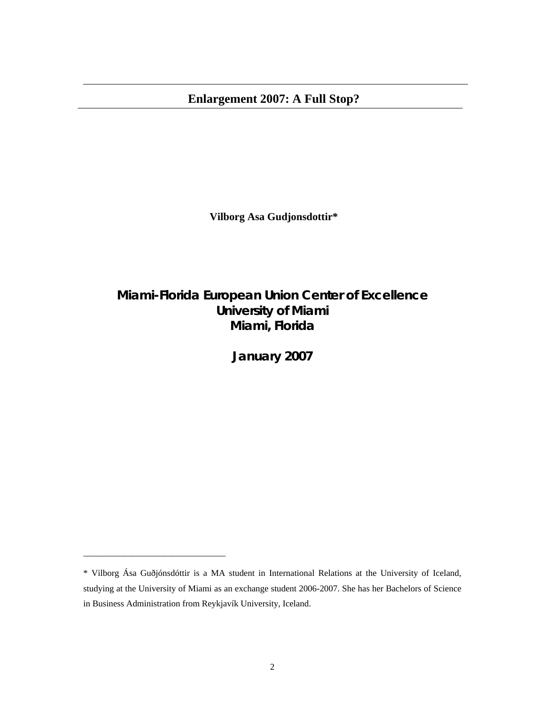**Vilborg Asa Gudjonsdottir\***

# **Miami-Florida European Union Center of Excellence University of Miami Miami, Florida**

**January 2007** 

\_\_\_\_\_\_\_\_\_\_\_\_\_\_\_\_\_\_\_\_\_\_\_\_\_\_\_\_\_\_\_\_

<sup>\*</sup> Vilborg Ása Guðjónsdóttir is a MA student in International Relations at the University of Iceland, studying at the University of Miami as an exchange student 2006-2007. She has her Bachelors of Science in Business Administration from Reykjavík University, Iceland.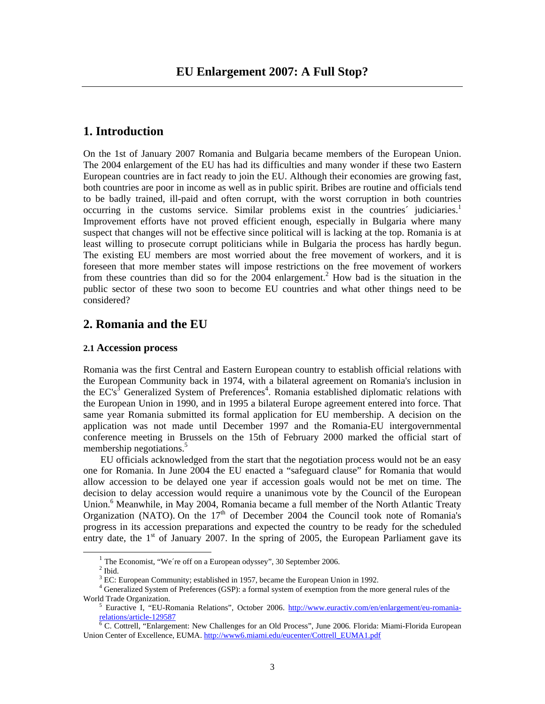# **1. Introduction**

On the 1st of January 2007 Romania and Bulgaria became members of the European Union. The 2004 enlargement of the EU has had its difficulties and many wonder if these two Eastern European countries are in fact ready to join the EU. Although their economies are growing fast, both countries are poor in income as well as in public spirit. Bribes are routine and officials tend to be badly trained, ill-paid and often corrupt, with the worst corruption in both countries occurring in the customs service. Similar problems exist in the countries' judiciaries.<sup>1</sup> Improvement efforts have not proved efficient enough, especially in Bulgaria where many suspect that changes will not be effective since political will is lacking at the top. Romania is at least willing to prosecute corrupt politicians while in Bulgaria the process has hardly begun. The existing EU members are most worried about the free movement of workers, and it is foreseen that more member states will impose restrictions on the free movement of workers from these countries than did so for the  $2004$  enlargement.<sup>2</sup> How bad is the situation in the public sector of these two soon to become EU countries and what other things need to be considered?

# **2. Romania and the EU**

## **2.1 Accession process**

Romania was the first Central and Eastern European country to establish official relations with the European Community back in 1974, with a bilateral agreement on Romania's inclusion in the  $EC's^3$  Generalized System of Preferences<sup>4</sup>. Romania established diplomatic relations with the European Union in 1990, and in 1995 a bilateral Europe agreement entered into force. That same year Romania submitted its formal application for EU membership. A decision on the application was not made until December 1997 and the Romania-EU intergovernmental conference meeting in Brussels on the 15th of February 2000 marked the official start of membership negotiations.<sup>5</sup>

 EU officials acknowledged from the start that the negotiation process would not be an easy one for Romania. In June 2004 the EU enacted a "safeguard clause" for Romania that would allow accession to be delayed one year if accession goals would not be met on time. The decision to delay accession would require a unanimous vote by the Council of the European Union.<sup>6</sup> Meanwhile, in May 2004, Romania became a full member of the North Atlantic Treaty Organization (NATO). On the  $17<sup>th</sup>$  of December 2004 the Council took note of Romania's progress in its accession preparations and expected the country to be ready for the scheduled entry date, the  $1<sup>st</sup>$  of January 2007. In the spring of 2005, the European Parliament gave its

 $1$  The Economist, "We're off on a European odyssey", 30 September 2006.

 $^{\rm 2}$  Ibid.

<sup>&</sup>lt;sup>3</sup> EC: European Community; established in 1957, became the European Union in 1992.

<sup>&</sup>lt;sup>4</sup> Generalized System of Preferences (GSP): a formal system of exemption from the more general rules of the World Trade Organization.

<sup>&</sup>lt;sup>5</sup> Euractive I, "EU-Romania Relations", October 2006. http://www.euractiv.com/en/enlargement/eu-romaniarelations/article-129587

C. Cottrell, "Enlargement: New Challenges for an Old Process", June 2006*.* Florida: Miami-Florida European Union Center of Excellence, EUMA. http://www6.miami.edu/eucenter/Cottrell\_EUMA1.pdf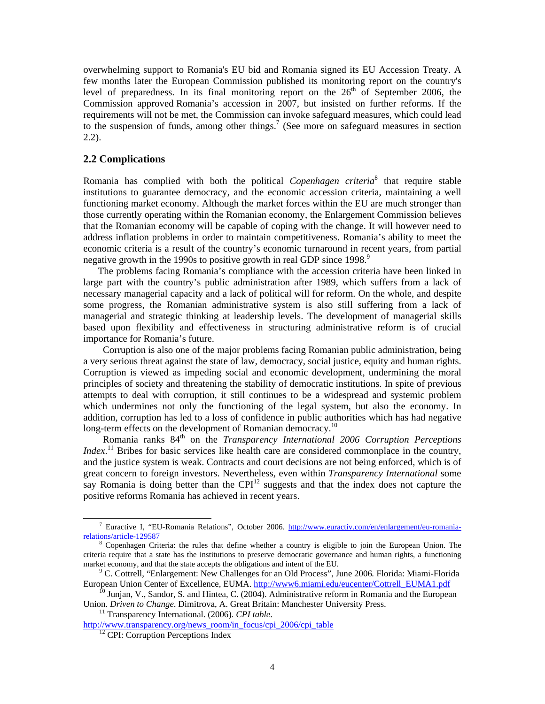overwhelming support to Romania's EU bid and Romania signed its EU Accession Treaty. A few months later the European Commission published its monitoring report on the country's level of preparedness. In its final monitoring report on the  $26<sup>th</sup>$  of September 2006, the Commission approved Romania's accession in 2007, but insisted on further reforms. If the requirements will not be met, the Commission can invoke safeguard measures, which could lead to the suspension of funds, among other things.<sup>7</sup> (See more on safeguard measures in section 2.2).

# **2.2 Complications**

Romania has complied with both the political *Copenhagen criteria*<sup>8</sup> that require stable institutions to guarantee democracy, and the economic accession criteria, maintaining a well functioning market economy. Although the market forces within the EU are much stronger than those currently operating within the Romanian economy, the Enlargement Commission believes that the Romanian economy will be capable of coping with the change. It will however need to address inflation problems in order to maintain competitiveness. Romania's ability to meet the economic criteria is a result of the country's economic turnaround in recent years, from partial negative growth in the 1990s to positive growth in real GDP since 1998.<sup>9</sup>

 The problems facing Romania's compliance with the accession criteria have been linked in large part with the country's public administration after 1989, which suffers from a lack of necessary managerial capacity and a lack of political will for reform. On the whole, and despite some progress, the Romanian administrative system is also still suffering from a lack of managerial and strategic thinking at leadership levels. The development of managerial skills based upon flexibility and effectiveness in structuring administrative reform is of crucial importance for Romania's future.

 Corruption is also one of the major problems facing Romanian public administration, being a very serious threat against the state of law, democracy, social justice, equity and human rights. Corruption is viewed as impeding social and economic development, undermining the moral principles of society and threatening the stability of democratic institutions. In spite of previous attempts to deal with corruption, it still continues to be a widespread and systemic problem which undermines not only the functioning of the legal system, but also the economy. In addition, corruption has led to a loss of confidence in public authorities which has had negative long-term effects on the development of Romanian democracy.<sup>10</sup>

Romania ranks  $84<sup>th</sup>$  on the *Transparency International 2006 Corruption Perceptions Index*.<sup>11</sup> Bribes for basic services like health care are considered commonplace in the country, and the justice system is weak. Contracts and court decisions are not being enforced, which is of great concern to foreign investors. Nevertheless, even within *Transparency International* some say Romania is doing better than the  $\text{CPI}^{12}$  suggests and that the index does not capture the positive reforms Romania has achieved in recent years.

 $\frac{1}{7}$ <sup>7</sup> Euractive I, "EU-Romania Relations", October 2006. http://www.euractiv.com/en/enlargement/eu-romaniarelations/article-129587

<sup>&</sup>lt;sup>8</sup> Copenhagen Criteria: the rules that define whether a country is eligible to join the European Union. The criteria require that a state has the institutions to preserve democratic governance and human rights, a functioning market economy, and that the state accepts the obligations and intent of the EU. 9

<sup>&</sup>lt;sup>9</sup> C. Cottrell, "Enlargement: New Challenges for an Old Process", June 2006. Florida: Miami-Florida<br>European Union Center of Excellence, EUMA. http://www6.miami.edu/eucenter/Cottrell EUMA1.pdf

<sup>&</sup>lt;sup>10</sup> Junjan, V., Sandor, S. and Hintea, C. (2004). Administrative reform in Romania and the European Union. *Driven to Change*. Dimitrova, A. Great Britain: Manchester University Press. 11 Transparency International. (2006). *CPI table*.

http://www.transparency.org/news\_room/in\_focus/cpi\_2006/cpi\_table <sup>12</sup> CPI: Corruption Perceptions Index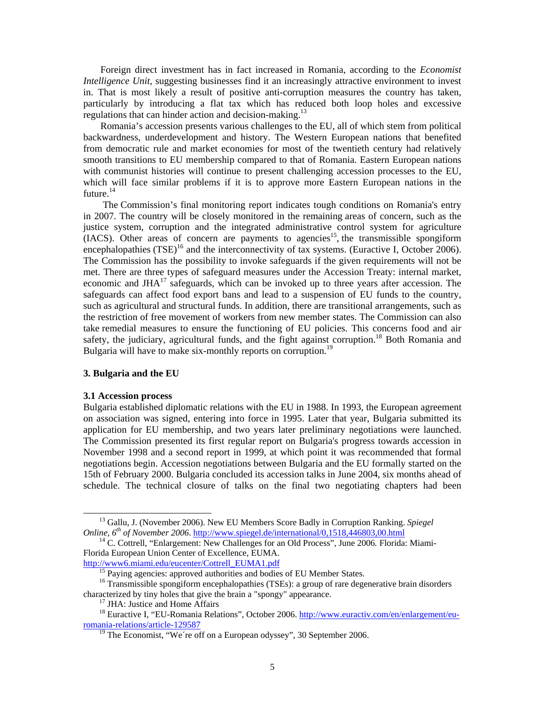Foreign direct investment has in fact increased in Romania, according to the *Economist Intelligence Unit*, suggesting businesses find it an increasingly attractive environment to invest in. That is most likely a result of positive anti-corruption measures the country has taken, particularly by introducing a flat tax which has reduced both loop holes and excessive regulations that can hinder action and decision-making.<sup>13</sup>

 Romania's accession presents various challenges to the EU, all of which stem from political backwardness, underdevelopment and history. The Western European nations that benefited from democratic rule and market economies for most of the twentieth century had relatively smooth transitions to EU membership compared to that of Romania. Eastern European nations with communist histories will continue to present challenging accession processes to the EU, which will face similar problems if it is to approve more Eastern European nations in the future.<sup>14</sup>

 The Commission's final monitoring report indicates tough conditions on Romania's entry in 2007. The country will be closely monitored in the remaining areas of concern, such as the justice system, corruption and the integrated administrative control system for agriculture (IACS). Other areas of concern are payments to agencies<sup>15</sup>, the transmissible spongiform encephalopathies  $(TSE)^{16}$  and the interconnectivity of tax systems. (Euractive I, October 2006). The Commission has the possibility to invoke safeguards if the given requirements will not be met. There are three types of safeguard measures under the Accession Treaty: internal market, economic and  $JHA^{17}$  safeguards, which can be invoked up to three years after accession. The safeguards can affect food export bans and lead to a suspension of EU funds to the country, such as agricultural and structural funds. In addition, there are transitional arrangements, such as the restriction of free movement of workers from new member states. The Commission can also take remedial measures to ensure the functioning of EU policies. This concerns food and air safety, the judiciary, agricultural funds, and the fight against corruption.<sup>18</sup> Both Romania and Bulgaria will have to make six-monthly reports on corruption.<sup>19</sup>

#### **3. Bulgaria and the EU**

#### **3.1 Accession process**

Bulgaria established diplomatic relations with the EU in 1988. In 1993, the European agreement on association was signed, entering into force in 1995. Later that year, Bulgaria submitted its application for EU membership, and two years later preliminary negotiations were launched. The Commission presented its first regular report on Bulgaria's progress towards accession in November 1998 and a second report in 1999, at which point it was recommended that formal negotiations begin. Accession negotiations between Bulgaria and the EU formally started on the 15th of February 2000. Bulgaria concluded its accession talks in June 2004, six months ahead of schedule. The technical closure of talks on the final two negotiating chapters had been

<sup>&</sup>lt;sup>13</sup> Gallu, J. (November 2006). New EU Members Score Badly in Corruption Ranking. *Spiegel Online*,  $6^{th}$  of November 2006. http://www.spiegel.de/international/0,1518,446803,00.html

<sup>&</sup>lt;sup>14</sup> C. Cottrell, "Enlargement: New Challenges for an Old Process", June 2006. Florida: Miami-Florida European Union Center of Excellence, EUMA.<br>http://www6.miami.edu/eucenter/Cottrell\_EUMA1.pdf

 $\frac{15}{15}$  Paying agencies: approved authorities and bodies of EU Member States.

<sup>&</sup>lt;sup>16</sup> Transmissible spongiform encephalopathies (TSEs): a group of rare degenerative brain disorders characterized by tiny holes that give the brain a "spongy" appearance. 17 JHA: Justice and Home Affairs

<sup>&</sup>lt;sup>18</sup> Euractive I, "EU-Romania Relations", October 2006. http://www.euractiv.com/en/enlargement/euromania-relations/article-129587

 $19$  The Economist, "We're off on a European odyssey", 30 September 2006.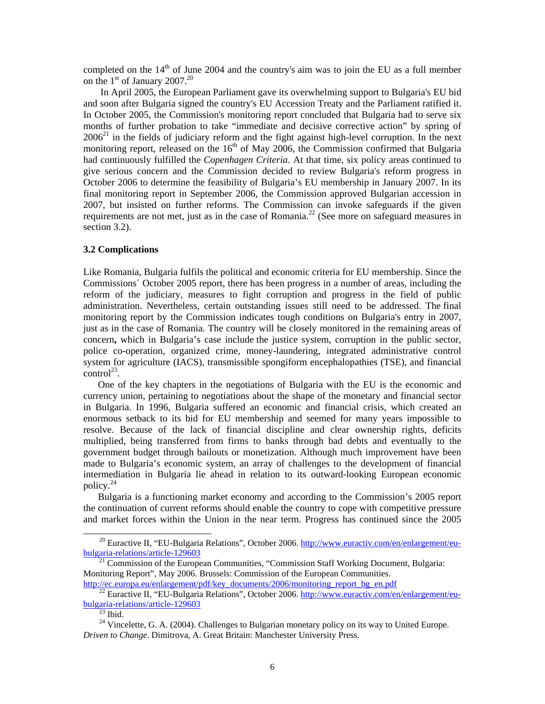completed on the 14<sup>th</sup> of June 2004 and the country's aim was to join the EU as a full member on the  $1<sup>st</sup>$  of January 2007.<sup>20</sup>

 In April 2005, the European Parliament gave its overwhelming support to Bulgaria's EU bid and soon after Bulgaria signed the country's EU Accession Treaty and the Parliament ratified it. In October 2005, the Commission's monitoring report concluded that Bulgaria had to serve six months of further probation to take "immediate and decisive corrective action" by spring of  $2006<sup>21</sup>$  in the fields of judiciary reform and the fight against high-level corruption. In the next monitoring report, released on the  $16<sup>th</sup>$  of May 2006, the Commission confirmed that Bulgaria had continuously fulfilled the *Copenhagen Criteria*. At that time, six policy areas continued to give serious concern and the Commission decided to review Bulgaria's reform progress in October 2006 to determine the feasibility of Bulgaria's EU membership in January 2007. In its final monitoring report in September 2006, the Commission approved Bulgarian accession in 2007, but insisted on further reforms. The Commission can invoke safeguards if the given requirements are not met, just as in the case of Romania.<sup>22</sup> (See more on safeguard measures in section 3.2).

## **3.2 Complications**

Like Romania, Bulgaria fulfils the political and economic criteria for EU membership. Since the Commissions´ October 2005 report, there has been progress in a number of areas, including the reform of the judiciary, measures to fight corruption and progress in the field of public administration. Nevertheless, certain outstanding issues still need to be addressed. The final monitoring report by the Commission indicates tough conditions on Bulgaria's entry in 2007, just as in the case of Romania. The country will be closely monitored in the remaining areas of concern**,** which in Bulgaria's case include the justice system, corruption in the public sector, police co-operation, organized crime, money-laundering, integrated administrative control system for agriculture (IACS), transmissible spongiform encephalopathies (TSE), and financial  $control^{23}$ .

 One of the key chapters in the negotiations of Bulgaria with the EU is the economic and currency union, pertaining to negotiations about the shape of the monetary and financial sector in Bulgaria. In 1996, Bulgaria suffered an economic and financial crisis, which created an enormous setback to its bid for EU membership and seemed for many years impossible to resolve. Because of the lack of financial discipline and clear ownership rights, deficits multiplied, being transferred from firms to banks through bad debts and eventually to the government budget through bailouts or monetization. Although much improvement have been made to Bulgaria's economic system, an array of challenges to the development of financial intermediation in Bulgaria lie ahead in relation to its outward-looking European economic policy.24

 Bulgaria is a functioning market economy and according to the Commission's 2005 report the continuation of current reforms should enable the country to cope with competitive pressure and market forces within the Union in the near term. Progress has continued since the 2005

<sup>&</sup>lt;sup>20</sup> Euractive II, "EU-Bulgaria Relations", October 2006. http://www.euractiv.com/en/enlargement/eu-<br>bulgaria-relations/article-129603

 $\frac{21}{21}$  Commission of the European Communities, "Commission Staff Working Document, Bulgaria: Monitoring Report", May 2006. Brussels: Commission of the European Communities.<br>http://ec.europa.eu/enlargement/pdf/key\_documents/2006/monitoring\_report\_bg\_en.pdf

<sup>&</sup>lt;sup>22</sup> Euractive II, "EU-Bulgaria Relations", October 2006. http://www.euractiv.com/en/enlargement/eu- $\frac{\text{bulgaria-relations/article-129603}}{23 \text{ Ibid.}}$ 

 $24$  Vincelette, G. A. (2004). Challenges to Bulgarian monetary policy on its way to United Europe. *Driven to Change*. Dimitrova, A. Great Britain: Manchester University Press.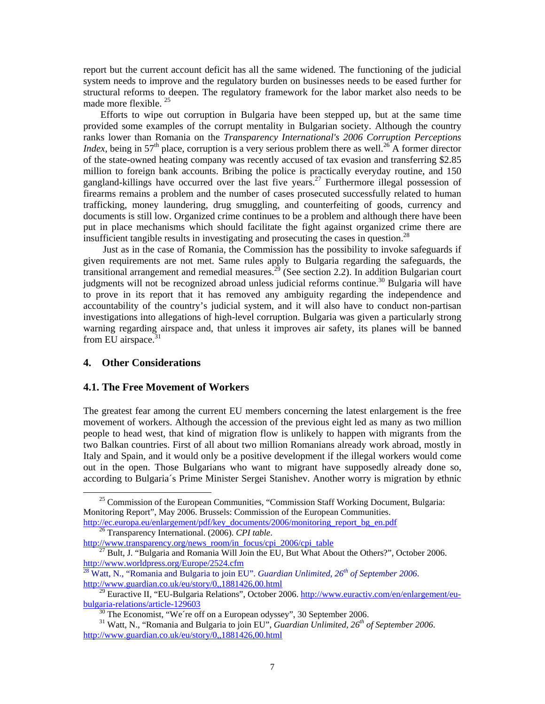report but the current account deficit has all the same widened. The functioning of the judicial system needs to improve and the regulatory burden on businesses needs to be eased further for structural reforms to deepen. The regulatory framework for the labor market also needs to be made more flexible.<sup>25</sup>

 Efforts to wipe out corruption in Bulgaria have been stepped up, but at the same time provided some examples of the corrupt mentality in Bulgarian society. Although the country ranks lower than Romania on the *Transparency International's 2006 Corruption Perceptions Index*, being in 57<sup>th</sup> place, corruption is a very serious problem there as well.<sup>26</sup> A former director of the state-owned heating company was recently accused of tax evasion and transferring \$2.85 million to foreign bank accounts. Bribing the police is practically everyday routine, and 150 gangland-killings have occurred over the last five years.<sup>27</sup> Furthermore illegal possession of firearms remains a problem and the number of cases prosecuted successfully related to human trafficking, money laundering, drug smuggling, and counterfeiting of goods, currency and documents is still low. Organized crime continues to be a problem and although there have been put in place mechanisms which should facilitate the fight against organized crime there are insufficient tangible results in investigating and prosecuting the cases in question.<sup>28</sup>

 Just as in the case of Romania, the Commission has the possibility to invoke safeguards if given requirements are not met. Same rules apply to Bulgaria regarding the safeguards, the transitional arrangement and remedial measures.<sup>29</sup> (See section 2.2). In addition Bulgarian court judgments will not be recognized abroad unless judicial reforms continue.<sup>30</sup> Bulgaria will have to prove in its report that it has removed any ambiguity regarding the independence and accountability of the country's judicial system, and it will also have to conduct non-partisan investigations into allegations of high-level corruption. Bulgaria was given a particularly strong warning regarding airspace and, that unless it improves air safety, its planes will be banned from EU airspace. $31$ 

## **4. Other Considerations**

## **4.1. The Free Movement of Workers**

The greatest fear among the current EU members concerning the latest enlargement is the free movement of workers. Although the accession of the previous eight led as many as two million people to head west, that kind of migration flow is unlikely to happen with migrants from the two Balkan countries. First of all about two million Romanians already work abroad, mostly in Italy and Spain, and it would only be a positive development if the illegal workers would come out in the open. Those Bulgarians who want to migrant have supposedly already done so, according to Bulgaria´s Prime Minister Sergei Stanishev. Another worry is migration by ethnic

<sup>&</sup>lt;sup>25</sup> Commission of the European Communities, "Commission Staff Working Document, Bulgaria: Monitoring Report", May 2006. Brussels: Commission of the European Communities. http://ec.europa.eu/enlargement/pdf/key\_documents/2006/monitoring\_report\_bg\_en.pdf 26 Transparency International. (2006). *CPI table*.

<sup>&</sup>lt;sup>27</sup> Bult, J. "Bulgaria and Romania Will Join the EU, But What About the Others?", October 2006.

http://www.worldpress.org/Europe/2524.cfm<br><sup>28</sup> Watt, N., "Romania and Bulgaria to join EU". *Guardian Unlimited, 26<sup>th</sup> of September 2006*.<br>http://www.guardian.co.uk/eu/story/0,,1881426,00.html

 $\frac{129}{29}$  Euractive II, "EU-Bulgaria Relations", October 2006. http://www.euractiv.com/en/enlargement/eu- $bulgaria-relations/article-129603$  30 The Economist, "We're off on a European odyssey", 30 September 2006.</u>

<sup>31</sup> Watt, N., "Romania and Bulgaria to join EU", *Guardian Unlimited, 26th of September 2006*. http://www.guardian.co.uk/eu/story/0,,1881426,00.html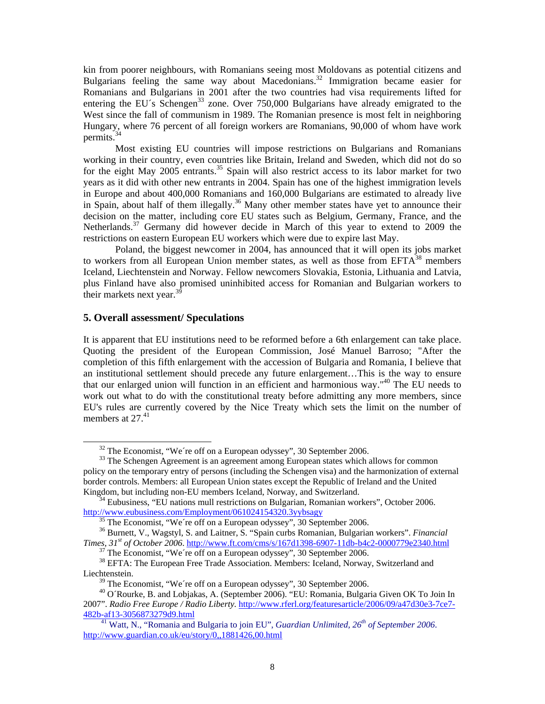kin from poorer neighbours, with Romanians seeing most Moldovans as potential citizens and Bulgarians feeling the same way about Macedonians.<sup>32</sup> Immigration became easier for Romanians and Bulgarians in 2001 after the two countries had visa requirements lifted for entering the EU´s Schengen<sup>33</sup> zone. Over 750,000 Bulgarians have already emigrated to the West since the fall of communism in 1989. The Romanian presence is most felt in neighboring Hungary, where 76 percent of all foreign workers are Romanians, 90,000 of whom have work permits.<sup>34</sup>

Most existing EU countries will impose restrictions on Bulgarians and Romanians working in their country, even countries like Britain, Ireland and Sweden, which did not do so for the eight May 2005 entrants.<sup>35</sup> Spain will also restrict access to its labor market for two years as it did with other new entrants in 2004. Spain has one of the highest immigration levels in Europe and about 400,000 Romanians and 160,000 Bulgarians are estimated to already live in Spain, about half of them illegally.<sup>36</sup> Many other member states have yet to announce their decision on the matter, including core EU states such as Belgium, Germany, France, and the Netherlands.<sup>37</sup> Germany did however decide in March of this year to extend to 2009 the restrictions on eastern European EU workers which were due to expire last May.

Poland, the biggest newcomer in 2004, has announced that it will open its jobs market to workers from all European Union member states, as well as those from  $EFTA^{38}$  members Iceland, Liechtenstein and Norway. Fellow newcomers Slovakia, Estonia, Lithuania and Latvia, plus Finland have also promised uninhibited access for Romanian and Bulgarian workers to their markets next year. $3$ 

# **5. Overall assessment/ Speculations**

It is apparent that EU institutions need to be reformed before a 6th enlargement can take place. Quoting the president of the European Commission, José Manuel Barroso; "After the completion of this fifth enlargement with the accession of Bulgaria and Romania, I believe that an institutional settlement should precede any future enlargement…This is the way to ensure that our enlarged union will function in an efficient and harmonious way."40 The EU needs to work out what to do with the constitutional treaty before admitting any more members, since EU's rules are currently covered by the Nice Treaty which sets the limit on the number of members at  $27<sup>41</sup>$ 

 $32$  The Economist, "We're off on a European odyssey", 30 September 2006.

<sup>&</sup>lt;sup>33</sup> The Schengen Agreement is an agreement among European states which allows for common policy on the temporary entry of persons (including the Schengen visa) and the harmonization of external border controls. Members: all European Union states except the Republic of Ireland and the United

Kingdom, but including non-EU members Iceland, Norway, and Switzerland.<br><sup>34</sup> Eubusiness, "EU nations mull restrictions on Bulgarian, Romanian workers", October 2006.<br>http://www.eubusiness.com/Employment/061024154320.3yybsa

 $\frac{35 \text{ The Economist, "We're off on a European odyssey", 30 September 2006.}$ 

<sup>36</sup> Burnett, V., Wagstyl, S. and Laitner, S. "Spain curbs Romanian, Bulgarian workers". *Financial Times, 31<sup>st</sup> of October 2006.* http://www.ft.com/cms/s/167d1398-6907-11db-b4c2-0000779e2340.html <sup>37</sup> The Economist, "We're off on a European odyssey", 30 September 2006.

<sup>&</sup>lt;sup>38</sup> EFTA: The European Free Trade Association. Members: Iceland, Norway, Switzerland and Liechtenstein.

 $39$  The Economist, "We're off on a European odyssey", 30 September 2006.

<sup>&</sup>lt;sup>40</sup> O´Rourke, B. and Lobjakas, A. (September 2006). "EU: Romania, Bulgaria Given OK To Join In 2007". *Radio Free Europe / Radio Liberty.* http://www.rferl.org/featuresarticle/2006/09/a47d30e3-7ce7- 482b-af13-3056873279d9.html

41 Watt, N., "Romania and Bulgaria to join EU", *Guardian Unlimited, 26th of September 2006*. http://www.guardian.co.uk/eu/story/0,,1881426,00.html